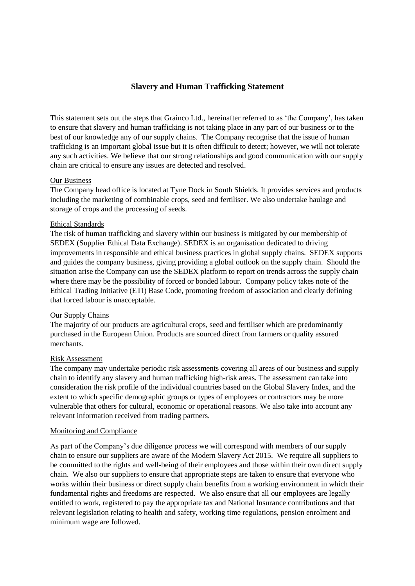# **Slavery and Human Trafficking Statement**

This statement sets out the steps that Grainco Ltd., hereinafter referred to as 'the Company', has taken to ensure that slavery and human trafficking is not taking place in any part of our business or to the best of our knowledge any of our supply chains. The Company recognise that the issue of human trafficking is an important global issue but it is often difficult to detect; however, we will not tolerate any such activities. We believe that our strong relationships and good communication with our supply chain are critical to ensure any issues are detected and resolved.

# Our Business

The Company head office is located at Tyne Dock in South Shields. It provides services and products including the marketing of combinable crops, seed and fertiliser. We also undertake haulage and storage of crops and the processing of seeds.

# Ethical Standards

The risk of human trafficking and slavery within our business is mitigated by our membership of SEDEX (Supplier Ethical Data Exchange). SEDEX is an organisation dedicated to driving improvements in responsible and ethical business practices in global supply chains. SEDEX supports and guides the company business, giving providing a global outlook on the supply chain. Should the situation arise the Company can use the SEDEX platform to report on trends across the supply chain where there may be the possibility of forced or bonded labour. Company policy takes note of the Ethical Trading Initiative (ETI) Base Code, promoting freedom of association and clearly defining that forced labour is unacceptable.

#### Our Supply Chains

The majority of our products are agricultural crops, seed and fertiliser which are predominantly purchased in the European Union. Products are sourced direct from farmers or quality assured merchants.

#### Risk Assessment

The company may undertake periodic risk assessments covering all areas of our business and supply chain to identify any slavery and human trafficking high-risk areas. The assessment can take into consideration the risk profile of the individual countries based on the Global Slavery Index, and the extent to which specific demographic groups or types of employees or contractors may be more vulnerable that others for cultural, economic or operational reasons. We also take into account any relevant information received from trading partners.

# Monitoring and Compliance

As part of the Company's due diligence process we will correspond with members of our supply chain to ensure our suppliers are aware of the Modern Slavery Act 2015. We require all suppliers to be committed to the rights and well-being of their employees and those within their own direct supply chain. We also our suppliers to ensure that appropriate steps are taken to ensure that everyone who works within their business or direct supply chain benefits from a working environment in which their fundamental rights and freedoms are respected. We also ensure that all our employees are legally entitled to work, registered to pay the appropriate tax and National Insurance contributions and that relevant legislation relating to health and safety, working time regulations, pension enrolment and minimum wage are followed.